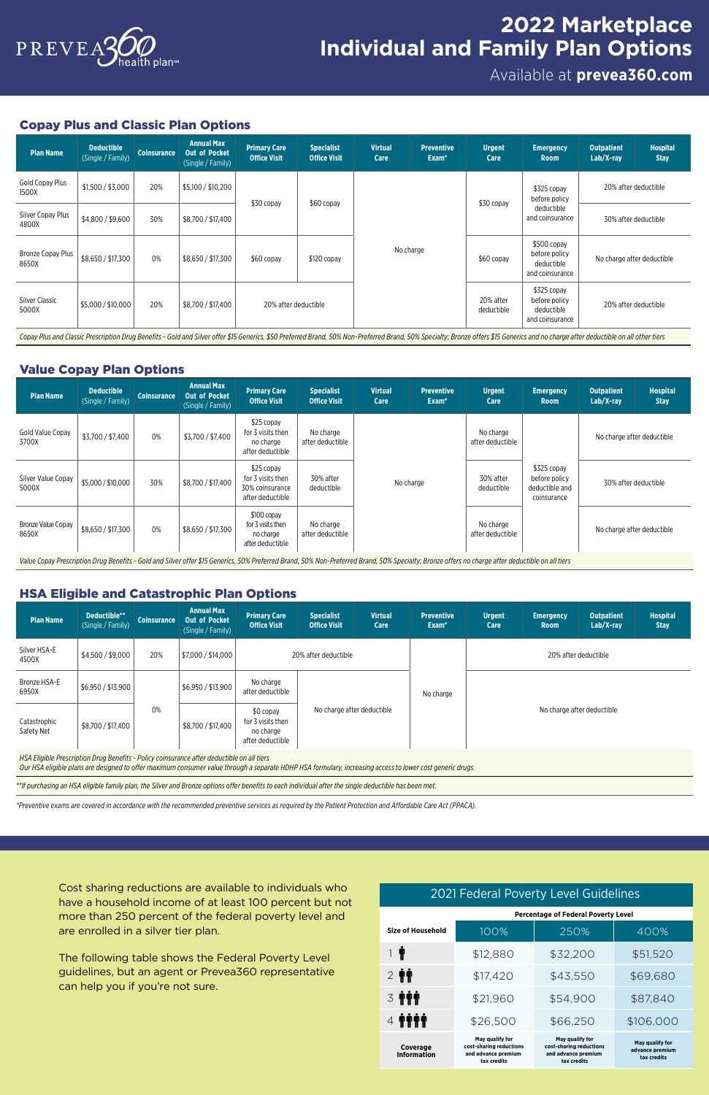# Available at **[prevea360.com](http://prevea360.com)**



# **2022 Marketplace Individual and Family Plan Options**

### Copay Plus and Classic Plan Options

| <b>Plan Name</b>                  | <b>Deductible</b><br>(Single / Family) | <b>Coinsurance</b> | <b>Annual Max</b><br><b>Out of Pocket</b><br>(Single / Family) | <b>Primary Care</b><br><b>Office Visit</b> | <b>Specialist</b><br><b>Office Visit</b> | <b>Virtual</b><br><b>Care</b> | <b>Preventive</b><br>Exam <sup>*</sup> | <b>Urgent</b><br>Care         | <b>Emergency</b><br><b>Room</b>                                                                                                                                                                                                   | <b>Outpatient</b><br>$Lab/X-ray$ | <b>Hospital</b><br><b>Stay</b> |
|-----------------------------------|----------------------------------------|--------------------|----------------------------------------------------------------|--------------------------------------------|------------------------------------------|-------------------------------|----------------------------------------|-------------------------------|-----------------------------------------------------------------------------------------------------------------------------------------------------------------------------------------------------------------------------------|----------------------------------|--------------------------------|
| Gold Copay Plus<br>1500X          | \$1,500 / \$3,000                      | 20%                | \$5,100 / \$10,200                                             |                                            | \$30 copay<br>\$60 copay                 |                               | \$30 copay                             | \$325 copay<br>before policy  | 20% after deductible                                                                                                                                                                                                              |                                  |                                |
| Silver Copay Plus<br>4800X        | \$4,800 / \$9,600                      | 30%                | \$8,700 / \$17,400                                             |                                            |                                          |                               |                                        | deductible<br>and coinsurance | 30% after deductible                                                                                                                                                                                                              |                                  |                                |
| <b>Bronze Copay Plus</b><br>8650X | \$8,650 / \$17,300                     | 0%                 | \$8,650 / \$17,300                                             | \$60 copay                                 | $$120$ copay                             | No charge                     |                                        | \$60 copay                    | \$500 copay<br>before policy<br>deductible<br>and coinsurance                                                                                                                                                                     | No charge after deductible       |                                |
| <b>Silver Classic</b><br>5000X    | \$5,000 / \$10,000                     | 20%                | \$8,700 / \$17,400                                             | 20% after deductible                       |                                          |                               |                                        | 20% after<br>deductible       | \$325 copay<br>before policy<br>deductible<br>and coinsurance                                                                                                                                                                     | 20% after deductible             |                                |
|                                   |                                        |                    |                                                                |                                            |                                          |                               |                                        |                               | Copay Plus and Classic Prescription Drug Benefits - Gold and Silver offer \$15 Generics, \$50 Preferred Brand, 50% Non-Preferred Brand, 50% Specialty; Bronze offers \$15 Generics and no charge after deductible on all other ti |                                  |                                |

| <b>Plan Name</b>            | <b>Deductible</b><br>(Single / Family) | <b>Coinsurance</b> | <b>Annual Max</b><br><b>Out of Pocket</b><br>(Single / Family) | <b>Primary Care</b><br><b>Office Visit</b>                                                                                                                                                       | <b>Specialist</b><br><b>Office Visit</b> | <b>Virtual</b><br><b>Care</b> | <b>Preventive</b><br>Exam <sup>*</sup> | <b>Urgent</b><br><b>Care</b>  | <b>Emergency</b><br><b>Room</b>                               | <b>Outpatient</b><br>Lab/X-ray | <b>Hospital</b><br><b>Stay</b> |
|-----------------------------|----------------------------------------|--------------------|----------------------------------------------------------------|--------------------------------------------------------------------------------------------------------------------------------------------------------------------------------------------------|------------------------------------------|-------------------------------|----------------------------------------|-------------------------------|---------------------------------------------------------------|--------------------------------|--------------------------------|
| Gold Value Copay<br>3700X   | \$3,700 / \$7,400                      | 0%                 | \$3,700 / \$7,400                                              | \$25 copay<br>for 3 visits then<br>no charge<br>after deductible                                                                                                                                 | No charge<br>after deductible            |                               | No charge<br>after deductible          | No charge after deductible    |                                                               |                                |                                |
| Silver Value Copay<br>5000X | \$5,000 / \$10,000                     | 30%                | \$8,700 / \$17,400                                             | \$25 copay<br>for 3 visits then<br>30% coinsurance<br>after deductible                                                                                                                           | 30% after<br>deductible                  | No charge                     |                                        | 30% after<br>deductible       | \$325 copay<br>before policy<br>deductible and<br>coinsurance | 30% after deductible           |                                |
| Bronze Value Copay<br>8650X | \$8,650 / \$17,300                     | 0%                 | \$8,650 / \$17,300                                             | $$100$ copay<br>for 3 visits then<br>no charge<br>after deductible                                                                                                                               | No charge<br>after deductible            |                               |                                        | No charge<br>after deductible |                                                               | No charge after deductible     |                                |
|                             |                                        |                    |                                                                | Value Copay Prescription Drug Benefits - Gold and Silver offer \$15 Generics, 50% Preferred Brand, 50% Non-Preferred Brand, 50% Specialty; Bronze offers no charge after deductible on all tiers |                                          |                               |                                        |                               |                                                               |                                |                                |

### Value Copay Plan Options

| <b>Plan Name</b>           | Deductible**<br>(Single / Family)                                                          | <b>Coinsurance</b> | <b>Annual Max</b><br><b>Out of Pocket</b><br>(Single / Family) | <b>Primary Care</b><br><b>Office Visit</b>                      | <b>Specialist</b><br><b>Office Visit</b> | <b>Virtual</b><br>Care | <b>Preventive</b><br>Exam <sup>*</sup> | <b>Urgent</b><br>Care      | <b>Emergency</b><br><b>Room</b> | <b>Outpatient</b><br>Lab/X-ray | <b>Hospital</b><br><b>Stay</b> |  |
|----------------------------|--------------------------------------------------------------------------------------------|--------------------|----------------------------------------------------------------|-----------------------------------------------------------------|------------------------------------------|------------------------|----------------------------------------|----------------------------|---------------------------------|--------------------------------|--------------------------------|--|
| Silver HSA-E<br>4500X      | \$4,500 / \$9,000                                                                          | 20%                | \$7,000 / \$14,000                                             |                                                                 | 20% after deductible                     |                        |                                        | 20% after deductible       |                                 |                                |                                |  |
| Bronze HSA-E<br>6950X      | \$6,950 / \$13,900                                                                         |                    | \$6,950 / \$13,900                                             | No charge<br>after deductible                                   |                                          |                        | No charge                              |                            |                                 |                                |                                |  |
| Catastrophic<br>Safety Net | \$8,700 / \$17,400                                                                         | 0%                 | \$8,700 / \$17,400                                             | \$0 copay<br>for 3 visits then<br>no charge<br>after deductible | No charge after deductible               |                        |                                        | No charge after deductible |                                 |                                |                                |  |
|                            | HSA Eligible Prescription Drug Benefits - Policy coinsurance after deductible on all tiers |                    |                                                                |                                                                 |                                          |                        |                                        |                            |                                 |                                |                                |  |

# HSA Eligible and Catastrophic Plan Options

*Our HSA eligible plans are designed to offer maximum consumer value through a separate HDHP HSA formulary, increasing access to lower cost generic drugs.* 

*\*\*If purchasing an HSA eligible family plan, the Silver and Bronze options offer benefits to each individual after the single deductible has been met.* 

Cost sharing reductions are available to individuals who have a household income of at least 100 percent but not more than 250 percent of the federal poverty level and are enrolled in a silver tier plan.

The following table shows the Federal Poverty Level guidelines, but an agent or Prevea360 representative can help you if you're not sure.

#### 2021 Federal Poverty Level Guidelines

**Percentage of Federal Poverty Level Size of Household**  1 T  $2$   $\mathbf{\hat{N}}$ **3 TTI**  $4$   $\mathbf{\hat{T}}$  $\mathbf{\hat{T}}$  $\mathbf{\hat{T}}$ 100% 250% 400% \$12,880 \$32,200 \$51,520 \$17,420 \$43,550 \$69,680 \$21,960 \$54,900 \$87,840 \$26,500 \$66,250 \$106,000 **May qualify for cost-sharing reductions and advance premium tax credits May qualify for cost-sharing reductions and advance premium tax credits May qualify for advance premium tax credits Coverage Information**